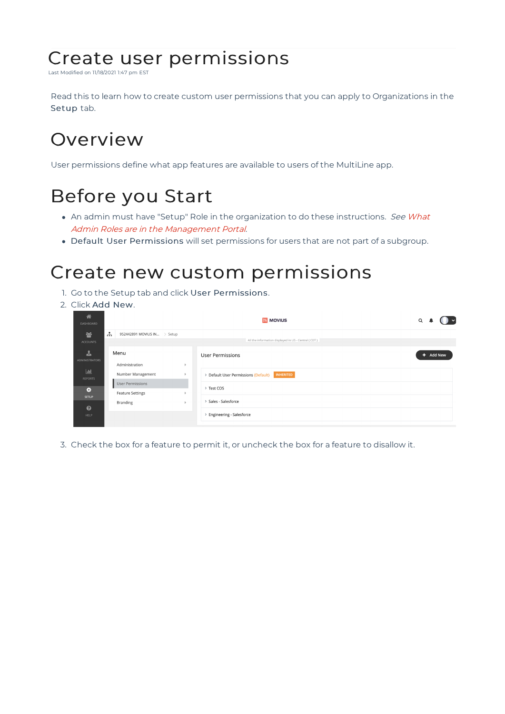# Create user permissions

Last Modified on 11/18/2021 1:47 pm EST

Read this to learn how to create custom user permissions that you can apply to Organizations in the Setup tab.

## **Overview**

User permissions define what app features are available to users of the MultiLine app.

# Before you Start

- An admin must have "Setup" Role in the organization to do these instructions. See What Admin Roles are in the Management Portal.
- Default User Permissions will set permissions for users that are not part of a subgroup.

### Create new custom permissions

- 1. Go to the Setup tab and click User Permissions.
- 2. Click Add New.



3. Check the box for a feature to permit it, or uncheck the box for a feature to disallow it.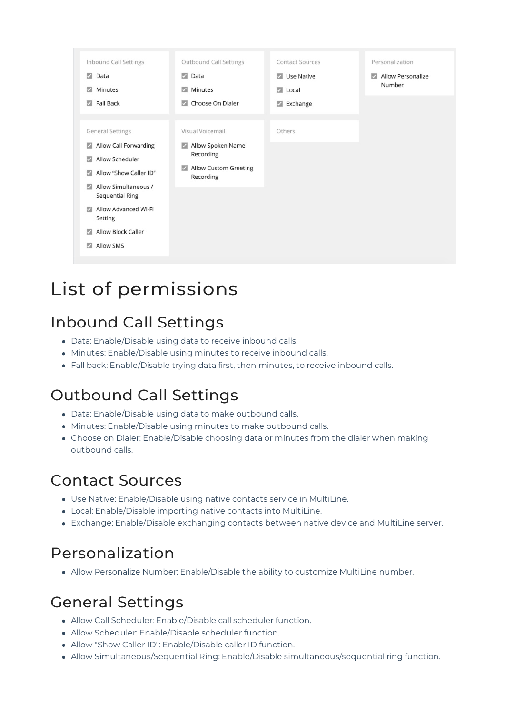

# List of permissions

## Inbound Call Settings

- Data: Enable/Disable using data to receive inbound calls.
- Minutes: Enable/Disable using minutes to receive inbound calls.
- Fall back: Enable/Disable trying data first, then minutes, to receive inbound calls.

#### Outbound Call Settings

- Data: Enable/Disable using data to make outbound calls.
- Minutes: Enable/Disable using minutes to make outbound calls.
- Choose on Dialer: Enable/Disable choosing data or minutes from the dialer when making outbound calls.

#### Contact Sources

- Use Native: Enable/Disable using native contacts service in MultiLine.
- Local: Enable/Disable importing native contacts into MultiLine.
- Exchange: Enable/Disable exchanging contacts between native device and MultiLine server.

#### Personalization

Allow Personalize Number: Enable/Disable the ability to customize MultiLine number.

#### General Settings

- Allow Call Scheduler: Enable/Disable call scheduler function.
- Allow Scheduler: Enable/Disable scheduler function.
- Allow "Show Caller ID": Enable/Disable caller ID function.
- Allow Simultaneous/Sequential Ring: Enable/Disable simultaneous/sequential ring function.